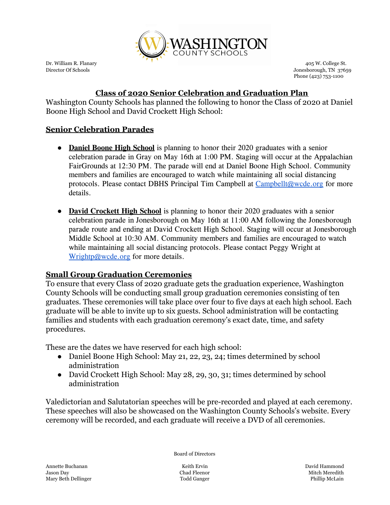

Dr. William R. Flanary 405 W. College St. (2016) 2016 12:30 Automobile St. (2016) 2016 2017 12:40<br>
Director Of Schools 3765 Jonesborough, TN 37659 Phone (423) 753-1100

## **Class of 2020 Senior Celebration and Graduation Plan**

Washington County Schools has planned the following to honor the Class of 2020 at Daniel Boone High School and David Crockett High School:

## **Senior Celebration Parades**

- **Daniel Boone High School** is planning to honor their 2020 graduates with a senior celebration parade in Gray on May 16th at 1:00 PM. Staging will occur at the Appalachian FairGrounds at 12:30 PM. The parade will end at Daniel Boone High School. Community members and families are encouraged to watch while maintaining all social distancing protocols. Please contact DBHS Principal Tim Campbell at [Campbellt@wcde.org](mailto:Campbellt@wcde.org) for more details.
- **David Crockett High School** is planning to honor their 2020 graduates with a senior celebration parade in Jonesborough on May 16th at 11:00 AM following the Jonesborough parade route and ending at David Crockett High School. Staging will occur at Jonesborough Middle School at 10:30 AM. Community members and families are encouraged to watch while maintaining all social distancing protocols. Please contact Peggy Wright at [Wrightp@wcde.org](mailto:WrightP@wcde.org) for more details.

## **Small Group Graduation Ceremonies**

To ensure that every Class of 2020 graduate gets the graduation experience, Washington County Schools will be conducting small group graduation ceremonies consisting of ten graduates. These ceremonies will take place over four to five days at each high school. Each graduate will be able to invite up to six guests. School administration will be contacting families and students with each graduation ceremony's exact date, time, and safety procedures.

These are the dates we have reserved for each high school:

- Daniel Boone High School: May 21, 22, 23, 24; times determined by school administration
- David Crockett High School: May 28, 29, 30, 31; times determined by school administration

Valedictorian and Salutatorian speeches will be pre-recorded and played at each ceremony. These speeches will also be showcased on the Washington County Schools's website. Every ceremony will be recorded, and each graduate will receive a DVD of all ceremonies.

Board of Directors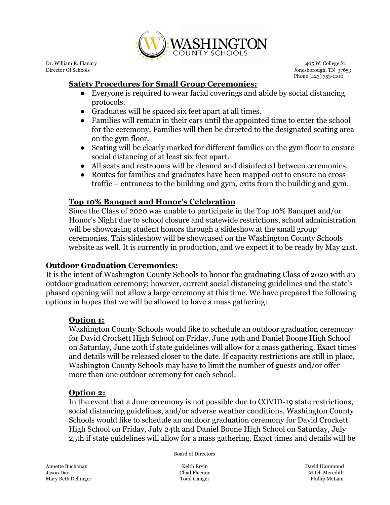

Dr. William R. Flanary 405 W. College St. (2016) 2016 12:30 Automobile St. (2016) 2016 2017 12:40<br>
Director Of Schools 3765 Jonesborough, TN 37659 Phone (423) 753-1100

# **Safety Procedures for Small Group Ceremonies:**

- Everyone is required to wear facial coverings and abide by social distancing protocols.
- Graduates will be spaced six feet apart at all times.
- Families will remain in their cars until the appointed time to enter the school for the ceremony. Families will then be directed to the designated seating area on the gym floor.
- Seating will be clearly marked for different families on the gym floor to ensure social distancing of at least six feet apart.
- All seats and restrooms will be cleaned and disinfected between ceremonies.
- Routes for families and graduates have been mapped out to ensure no cross traffic – entrances to the building and gym, exits from the building and gym.

## **Top 10% Banquet and Honor's Celebration**

Since the Class of 2020 was unable to participate in the Top 10% Banquet and/or Honor's Night due to school closure and statewide restrictions, school administration will be showcasing student honors through a slideshow at the small group ceremonies. This slideshow will be showcased on the Washington County Schools website as well. It is currently in production, and we expect it to be ready by May 21st.

## **Outdoor Graduation Ceremonies:**

It is the intent of Washington County Schools to honor the graduating Class of 2020 with an outdoor graduation ceremony; however, current social distancing guidelines and the state's phased opening will not allow a large ceremony at this time. We have prepared the following options in hopes that we will be allowed to have a mass gathering:

## **Option 1:**

Washington County Schools would like to schedule an outdoor graduation ceremony for David Crockett High School on Friday, June 19th and Daniel Boone High School on Saturday, June 20th if state guidelines will allow for a mass gathering. Exact times and details will be released closer to the date. If capacity restrictions are still in place, Washington County Schools may have to limit the number of guests and/or offer more than one outdoor ceremony for each school.

## **Option 2:**

In the event that a June ceremony is not possible due to COVID-19 state restrictions, social distancing guidelines, and/or adverse weather conditions, Washington County Schools would like to schedule an outdoor graduation ceremony for David Crockett High School on Friday, July 24th and Daniel Boone High School on Saturday, July 25th if state guidelines will allow for a mass gathering. Exact times and details will be

Board of Directors

Annette Buchanan Keith Ervin David Hammond Jason Day Chad Fleenor Mitch Meredith Mary Beth Dellinger Todd Ganger Phillip McLain